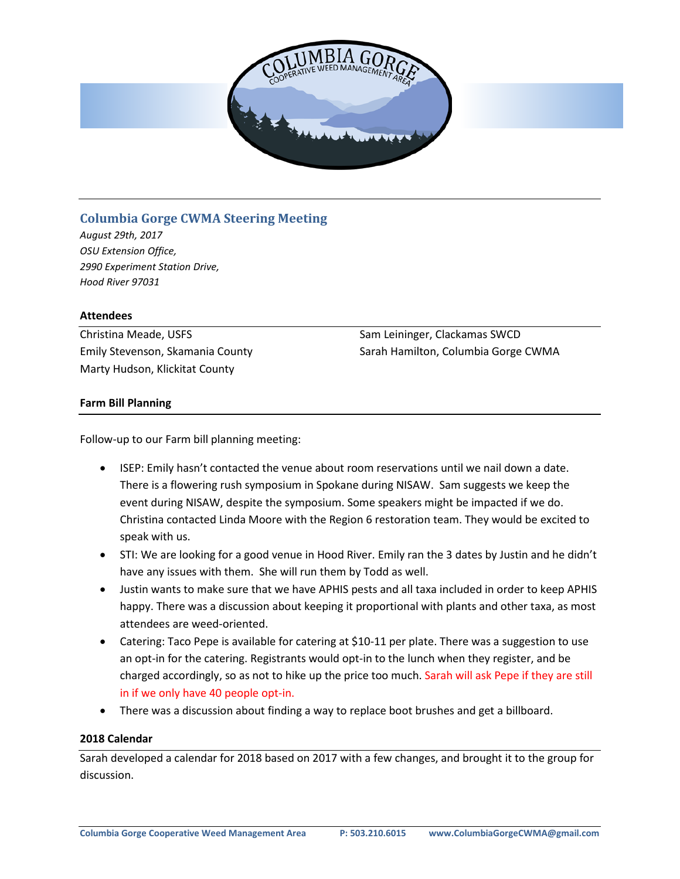

# **Columbia Gorge CWMA Steering Meeting**

*August 29th, 2017 OSU Extension Office, 2990 Experiment Station Drive, Hood River 97031*

### **Attendees**

Christina Meade, USFS Emily Stevenson, Skamania County Marty Hudson, Klickitat County

Sam Leininger, Clackamas SWCD Sarah Hamilton, Columbia Gorge CWMA

# **Farm Bill Planning**

Follow-up to our Farm bill planning meeting:

- ISEP: Emily hasn't contacted the venue about room reservations until we nail down a date. There is a flowering rush symposium in Spokane during NISAW. Sam suggests we keep the event during NISAW, despite the symposium. Some speakers might be impacted if we do. Christina contacted Linda Moore with the Region 6 restoration team. They would be excited to speak with us.
- STI: We are looking for a good venue in Hood River. Emily ran the 3 dates by Justin and he didn't have any issues with them. She will run them by Todd as well.
- Justin wants to make sure that we have APHIS pests and all taxa included in order to keep APHIS happy. There was a discussion about keeping it proportional with plants and other taxa, as most attendees are weed-oriented.
- Catering: Taco Pepe is available for catering at \$10-11 per plate. There was a suggestion to use an opt-in for the catering. Registrants would opt-in to the lunch when they register, and be charged accordingly, so as not to hike up the price too much. Sarah will ask Pepe if they are still in if we only have 40 people opt-in.
- There was a discussion about finding a way to replace boot brushes and get a billboard.

# **2018 Calendar**

Sarah developed a calendar for 2018 based on 2017 with a few changes, and brought it to the group for discussion.